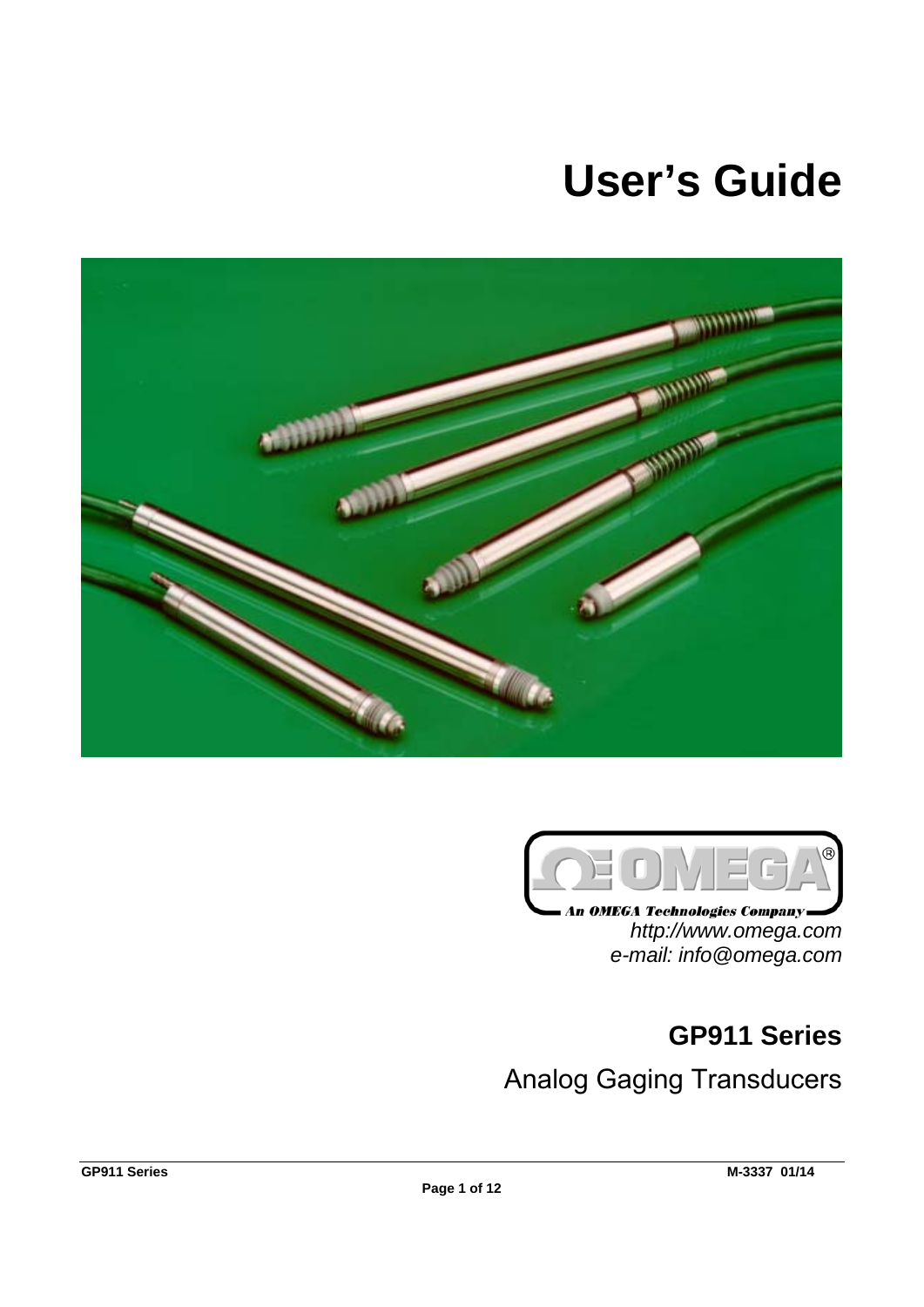# **User's Guide**





*http://www.omega.com e-mail: info@omega.com*

# **GP911 Series**

Analog Gaging Transducers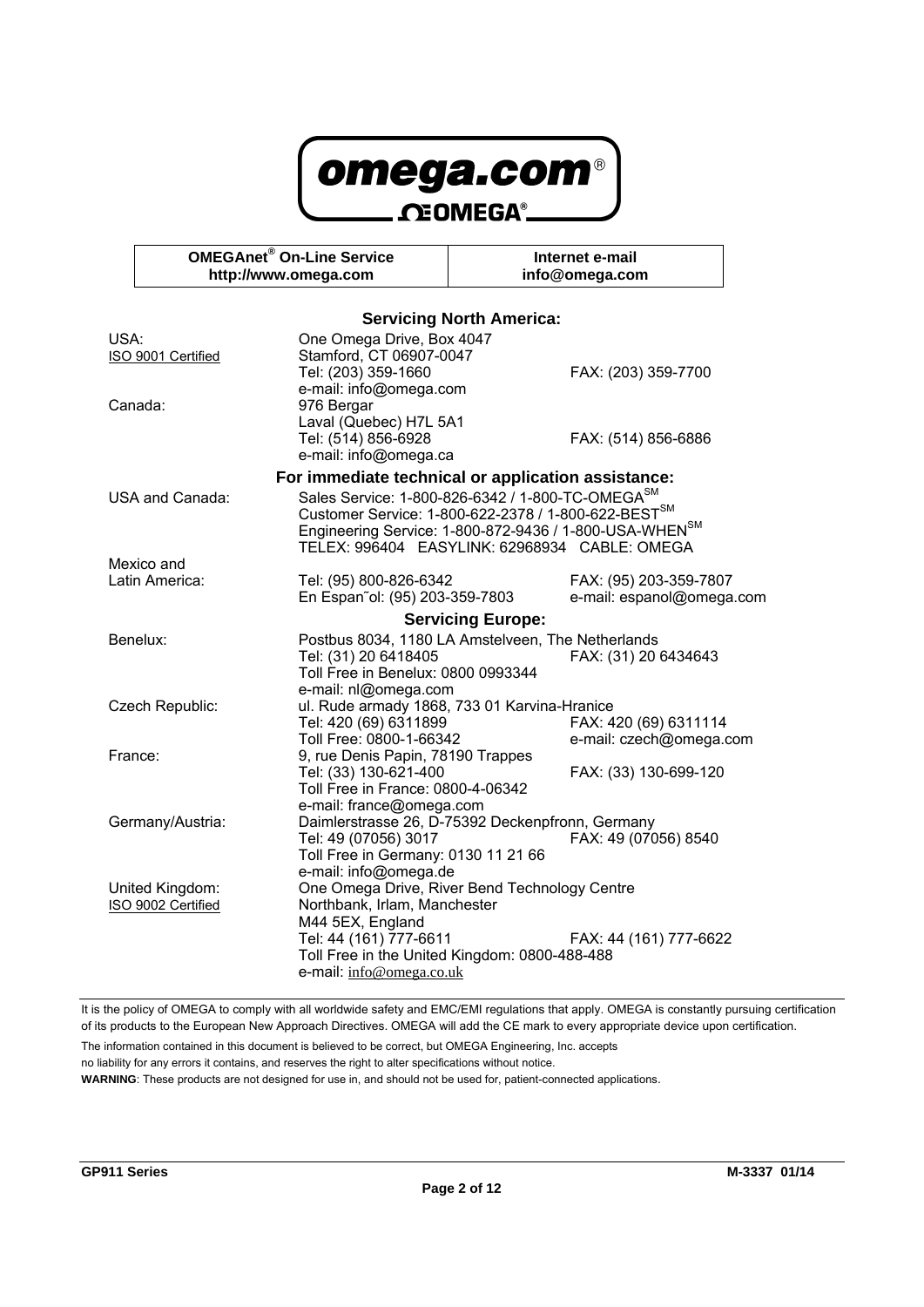

|                            | <b>OMEGAnet<sup>®</sup> On-Line Service</b><br>http://www.omega.com |                                                                                                                     | Internet e-mail<br>info@omega.com |                           |  |  |
|----------------------------|---------------------------------------------------------------------|---------------------------------------------------------------------------------------------------------------------|-----------------------------------|---------------------------|--|--|
|                            |                                                                     |                                                                                                                     |                                   |                           |  |  |
|                            |                                                                     |                                                                                                                     | <b>Servicing North America:</b>   |                           |  |  |
| USA:                       |                                                                     | One Omega Drive, Box 4047<br>Stamford, CT 06907-0047                                                                |                                   |                           |  |  |
| ISO 9001 Certified         |                                                                     | Tel: (203) 359-1660                                                                                                 |                                   | FAX: (203) 359-7700       |  |  |
|                            |                                                                     | e-mail: info@omega.com                                                                                              |                                   |                           |  |  |
| Canada:                    |                                                                     | 976 Bergar                                                                                                          |                                   |                           |  |  |
|                            |                                                                     | Laval (Quebec) H7L 5A1                                                                                              |                                   |                           |  |  |
|                            |                                                                     | Tel: (514) 856-6928<br>e-mail: info@omega.ca                                                                        |                                   | FAX: (514) 856-6886       |  |  |
|                            |                                                                     |                                                                                                                     |                                   |                           |  |  |
|                            |                                                                     | For immediate technical or application assistance:                                                                  |                                   |                           |  |  |
| USA and Canada:            |                                                                     | Sales Service: 1-800-826-6342 / 1-800-TC-OMEGASM<br>Customer Service: 1-800-622-2378 / 1-800-622-BEST <sup>SM</sup> |                                   |                           |  |  |
|                            |                                                                     | Engineering Service: 1-800-872-9436 / 1-800-USA-WHEN <sup>SM</sup>                                                  |                                   |                           |  |  |
|                            |                                                                     | TELEX: 996404 EASYLINK: 62968934 CABLE: OMEGA                                                                       |                                   |                           |  |  |
|                            | Mexico and                                                          |                                                                                                                     |                                   |                           |  |  |
| Latin America:             |                                                                     | Tel: (95) 800-826-6342                                                                                              |                                   | FAX: (95) 203-359-7807    |  |  |
|                            |                                                                     | En Español: (95) 203-359-7803                                                                                       |                                   | e-mail: espanol@omega.com |  |  |
|                            |                                                                     |                                                                                                                     | <b>Servicing Europe:</b>          |                           |  |  |
|                            | Benelux:                                                            | Postbus 8034, 1180 LA Amstelveen, The Netherlands<br>Tel: (31) 20 6418405                                           |                                   | FAX: (31) 20 6434643      |  |  |
|                            |                                                                     | Toll Free in Benelux: 0800 0993344                                                                                  |                                   |                           |  |  |
|                            |                                                                     | e-mail: nl@omega.com                                                                                                |                                   |                           |  |  |
| Czech Republic:<br>France: |                                                                     | ul. Rude armady 1868, 733 01 Karvina-Hranice                                                                        |                                   |                           |  |  |
|                            |                                                                     | Tel: 420 (69) 6311899                                                                                               |                                   | FAX: 420 (69) 6311114     |  |  |
|                            |                                                                     | Toll Free: 0800-1-66342<br>9, rue Denis Papin, 78190 Trappes                                                        |                                   | e-mail: czech@omega.com   |  |  |
|                            |                                                                     | Tel: (33) 130-621-400                                                                                               |                                   | FAX: (33) 130-699-120     |  |  |
|                            |                                                                     | Toll Free in France: 0800-4-06342                                                                                   |                                   |                           |  |  |
|                            |                                                                     | e-mail: france@omega.com                                                                                            |                                   |                           |  |  |
| Germany/Austria:           |                                                                     | Daimlerstrasse 26, D-75392 Deckenpfronn, Germany                                                                    |                                   |                           |  |  |
|                            |                                                                     | Tel: 49 (07056) 3017                                                                                                |                                   | FAX: 49 (07056) 8540      |  |  |
|                            |                                                                     | Toll Free in Germany: 0130 11 21 66<br>e-mail: info@omega.de                                                        |                                   |                           |  |  |
| United Kingdom:            |                                                                     | One Omega Drive, River Bend Technology Centre                                                                       |                                   |                           |  |  |
|                            | ISO 9002 Certified                                                  | Northbank, Irlam, Manchester                                                                                        |                                   |                           |  |  |
|                            |                                                                     | M44 5EX, England                                                                                                    |                                   |                           |  |  |
|                            |                                                                     | Tel: 44 (161) 777-6611                                                                                              |                                   | FAX: 44 (161) 777-6622    |  |  |
|                            |                                                                     | Toll Free in the United Kingdom: 0800-488-488<br>e-mail: info@omega.co.uk                                           |                                   |                           |  |  |
|                            |                                                                     |                                                                                                                     |                                   |                           |  |  |

It is the policy of OMEGA to comply with all worldwide safety and EMC/EMI regulations that apply. OMEGA is constantly pursuing certification of its products to the European New Approach Directives. OMEGA will add the CE mark to every appropriate device upon certification.

The information contained in this document is believed to be correct, but OMEGA Engineering, Inc. accepts

no liability for any errors it contains, and reserves the right to alter specifications without notice.

**WARNING**: These products are not designed for use in, and should not be used for, patient-connected applications.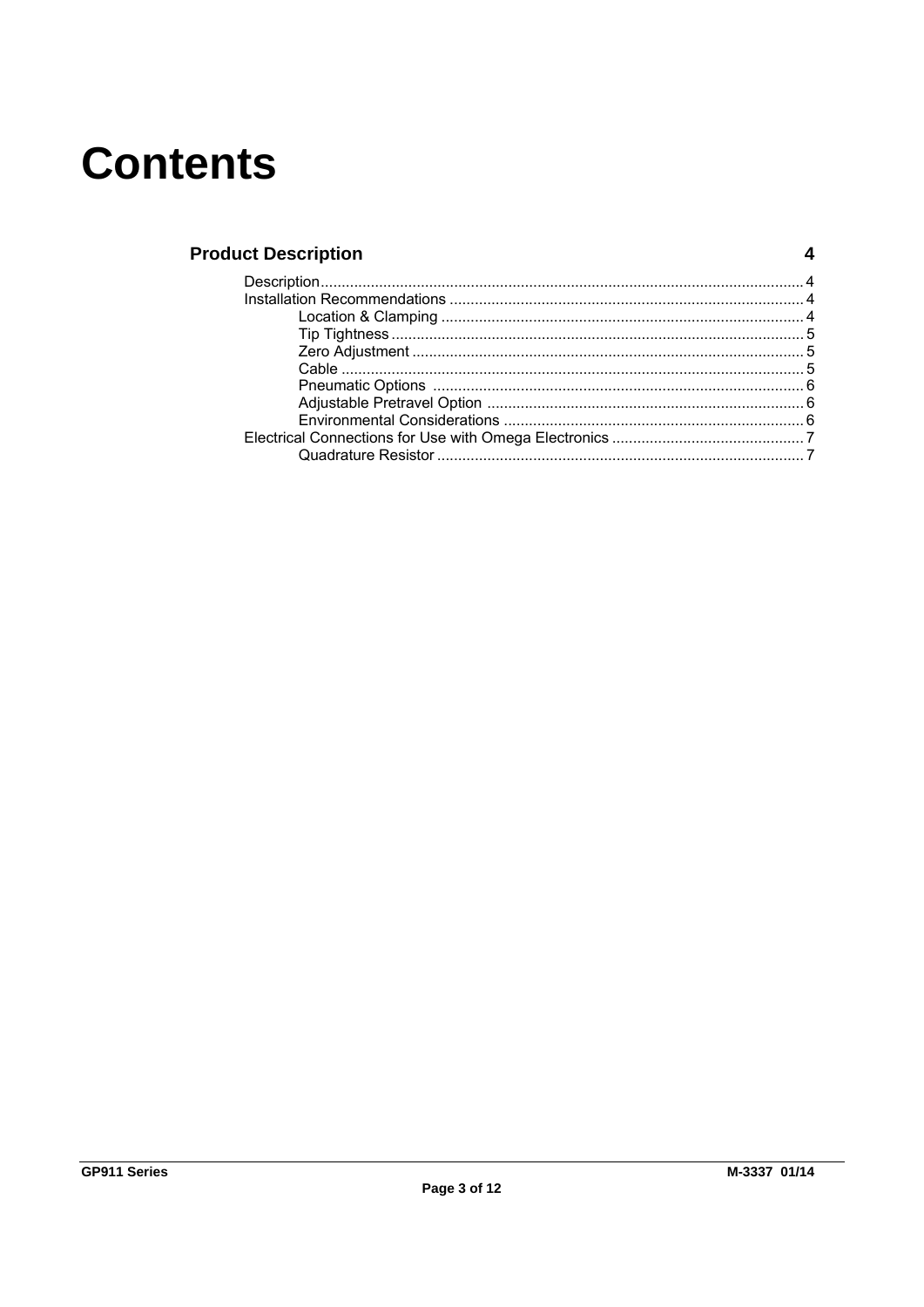# **Contents**

# **Product Description**

 $\overline{\mathbf{4}}$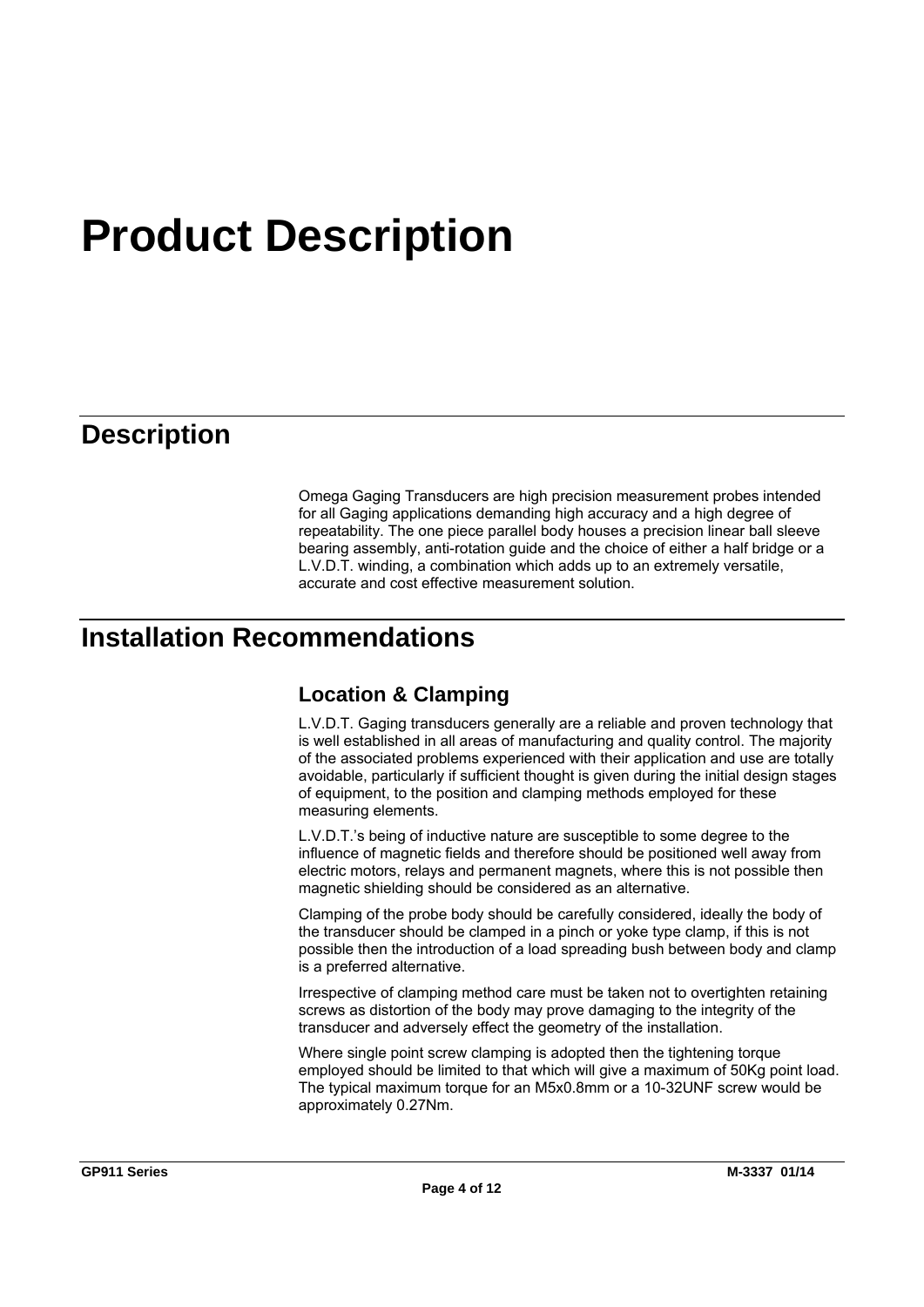# **Product Description**

## **Description**

Omega Gaging Transducers are high precision measurement probes intended for all Gaging applications demanding high accuracy and a high degree of repeatability. The one piece parallel body houses a precision linear ball sleeve bearing assembly, anti-rotation guide and the choice of either a half bridge or a L.V.D.T. winding, a combination which adds up to an extremely versatile, accurate and cost effective measurement solution.

## **Installation Recommendations**

### **Location & Clamping**

L.V.D.T. Gaging transducers generally are a reliable and proven technology that is well established in all areas of manufacturing and quality control. The majority of the associated problems experienced with their application and use are totally avoidable, particularly if sufficient thought is given during the initial design stages of equipment, to the position and clamping methods employed for these measuring elements.

L.V.D.T.'s being of inductive nature are susceptible to some degree to the influence of magnetic fields and therefore should be positioned well away from electric motors, relays and permanent magnets, where this is not possible then magnetic shielding should be considered as an alternative.

Clamping of the probe body should be carefully considered, ideally the body of the transducer should be clamped in a pinch or yoke type clamp, if this is not possible then the introduction of a load spreading bush between body and clamp is a preferred alternative.

Irrespective of clamping method care must be taken not to overtighten retaining screws as distortion of the body may prove damaging to the integrity of the transducer and adversely effect the geometry of the installation.

Where single point screw clamping is adopted then the tightening torque employed should be limited to that which will give a maximum of 50Kg point load. The typical maximum torque for an M5x0.8mm or a 10-32UNF screw would be approximately 0.27Nm.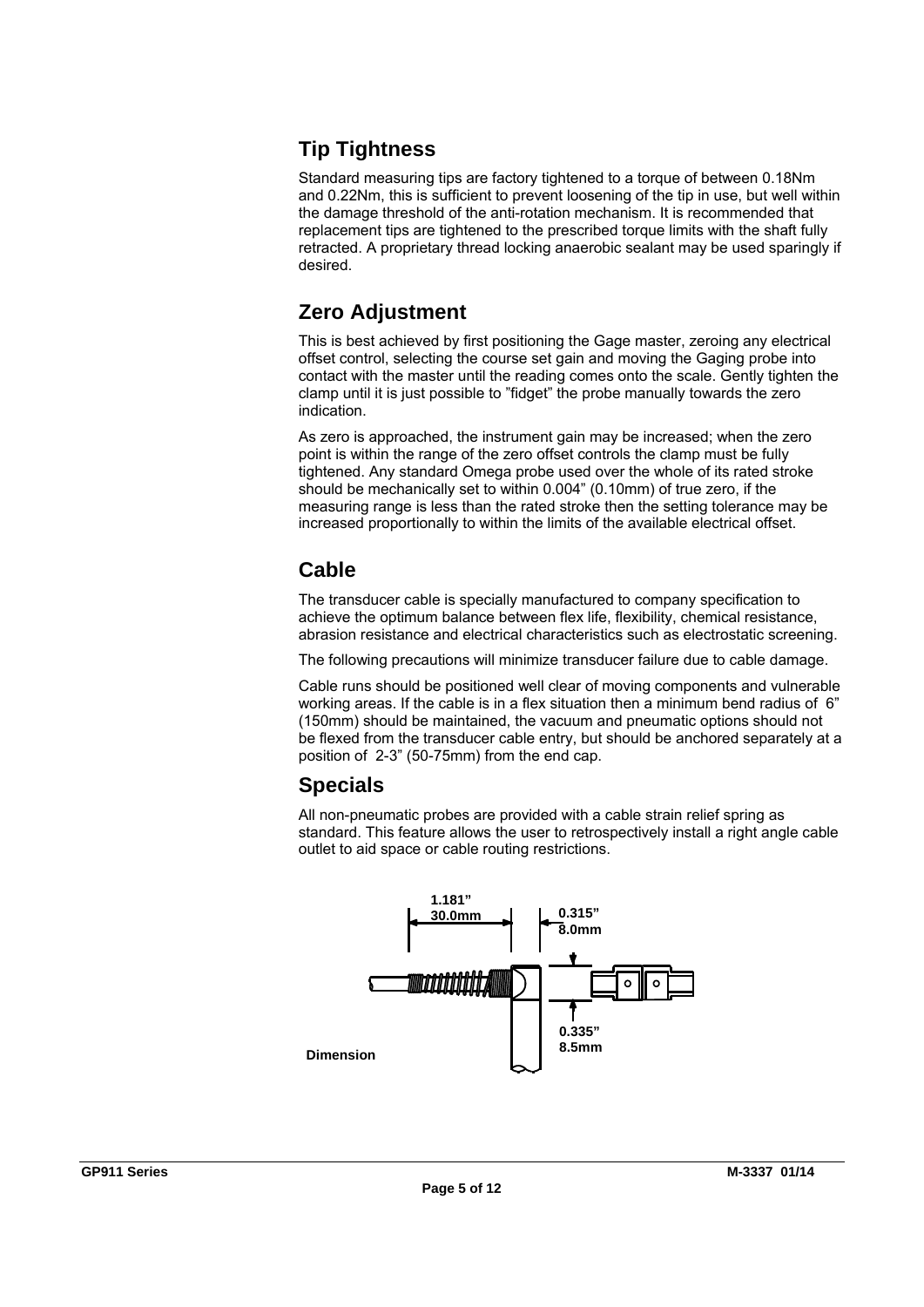## **Tip Tightness**

Standard measuring tips are factory tightened to a torque of between 0.18Nm and 0.22Nm, this is sufficient to prevent loosening of the tip in use, but well within the damage threshold of the anti-rotation mechanism. It is recommended that replacement tips are tightened to the prescribed torque limits with the shaft fully retracted. A proprietary thread locking anaerobic sealant may be used sparingly if desired.

## **Zero Adjustment**

This is best achieved by first positioning the Gage master, zeroing any electrical offset control, selecting the course set gain and moving the Gaging probe into contact with the master until the reading comes onto the scale. Gently tighten the clamp until it is just possible to "fidget" the probe manually towards the zero indication.

As zero is approached, the instrument gain may be increased; when the zero point is within the range of the zero offset controls the clamp must be fully tightened. Any standard Omega probe used over the whole of its rated stroke should be mechanically set to within 0.004" (0.10mm) of true zero, if the measuring range is less than the rated stroke then the setting tolerance may be increased proportionally to within the limits of the available electrical offset.

## **Cable**

The transducer cable is specially manufactured to company specification to achieve the optimum balance between flex life, flexibility, chemical resistance, abrasion resistance and electrical characteristics such as electrostatic screening.

The following precautions will minimize transducer failure due to cable damage.

Cable runs should be positioned well clear of moving components and vulnerable working areas. If the cable is in a flex situation then a minimum bend radius of 6" (150mm) should be maintained, the vacuum and pneumatic options should not be flexed from the transducer cable entry, but should be anchored separately at a position of 2-3" (50-75mm) from the end cap.

### **Specials**

All non-pneumatic probes are provided with a cable strain relief spring as standard. This feature allows the user to retrospectively install a right angle cable outlet to aid space or cable routing restrictions.

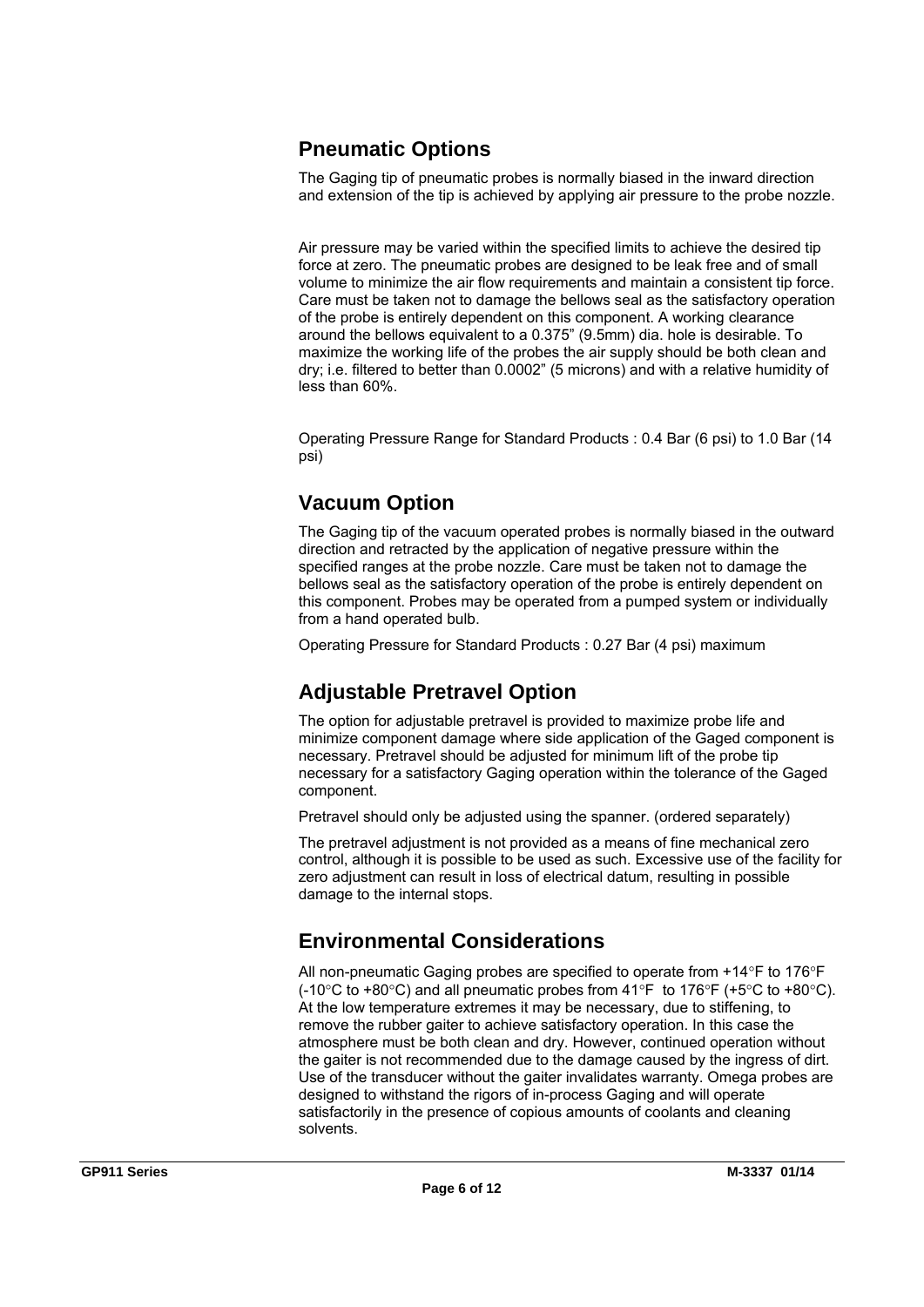### **Pneumatic Options**

The Gaging tip of pneumatic probes is normally biased in the inward direction and extension of the tip is achieved by applying air pressure to the probe nozzle.

Air pressure may be varied within the specified limits to achieve the desired tip force at zero. The pneumatic probes are designed to be leak free and of small volume to minimize the air flow requirements and maintain a consistent tip force. Care must be taken not to damage the bellows seal as the satisfactory operation of the probe is entirely dependent on this component. A working clearance around the bellows equivalent to a 0.375" (9.5mm) dia. hole is desirable. To maximize the working life of the probes the air supply should be both clean and dry; i.e. filtered to better than 0.0002" (5 microns) and with a relative humidity of less than 60%.

Operating Pressure Range for Standard Products : 0.4 Bar (6 psi) to 1.0 Bar (14 psi)

## **Vacuum Option**

The Gaging tip of the vacuum operated probes is normally biased in the outward direction and retracted by the application of negative pressure within the specified ranges at the probe nozzle. Care must be taken not to damage the bellows seal as the satisfactory operation of the probe is entirely dependent on this component. Probes may be operated from a pumped system or individually from a hand operated bulb.

Operating Pressure for Standard Products : 0.27 Bar (4 psi) maximum

## **Adjustable Pretravel Option**

The option for adjustable pretravel is provided to maximize probe life and minimize component damage where side application of the Gaged component is necessary. Pretravel should be adjusted for minimum lift of the probe tip necessary for a satisfactory Gaging operation within the tolerance of the Gaged component.

Pretravel should only be adjusted using the spanner. (ordered separately)

The pretravel adjustment is not provided as a means of fine mechanical zero control, although it is possible to be used as such. Excessive use of the facility for zero adjustment can result in loss of electrical datum, resulting in possible damage to the internal stops.

### **Environmental Considerations**

All non-pneumatic Gaging probes are specified to operate from  $+14^{\circ}$ F to 176 $^{\circ}$ F  $(0.10^{\circ} \text{C})$  to +80°C) and all pneumatic probes from 41°F to 176°F (+5°C to +80°C). At the low temperature extremes it may be necessary, due to stiffening, to remove the rubber gaiter to achieve satisfactory operation. In this case the atmosphere must be both clean and dry. However, continued operation without the gaiter is not recommended due to the damage caused by the ingress of dirt. Use of the transducer without the gaiter invalidates warranty. Omega probes are designed to withstand the rigors of in-process Gaging and will operate satisfactorily in the presence of copious amounts of coolants and cleaning solvents.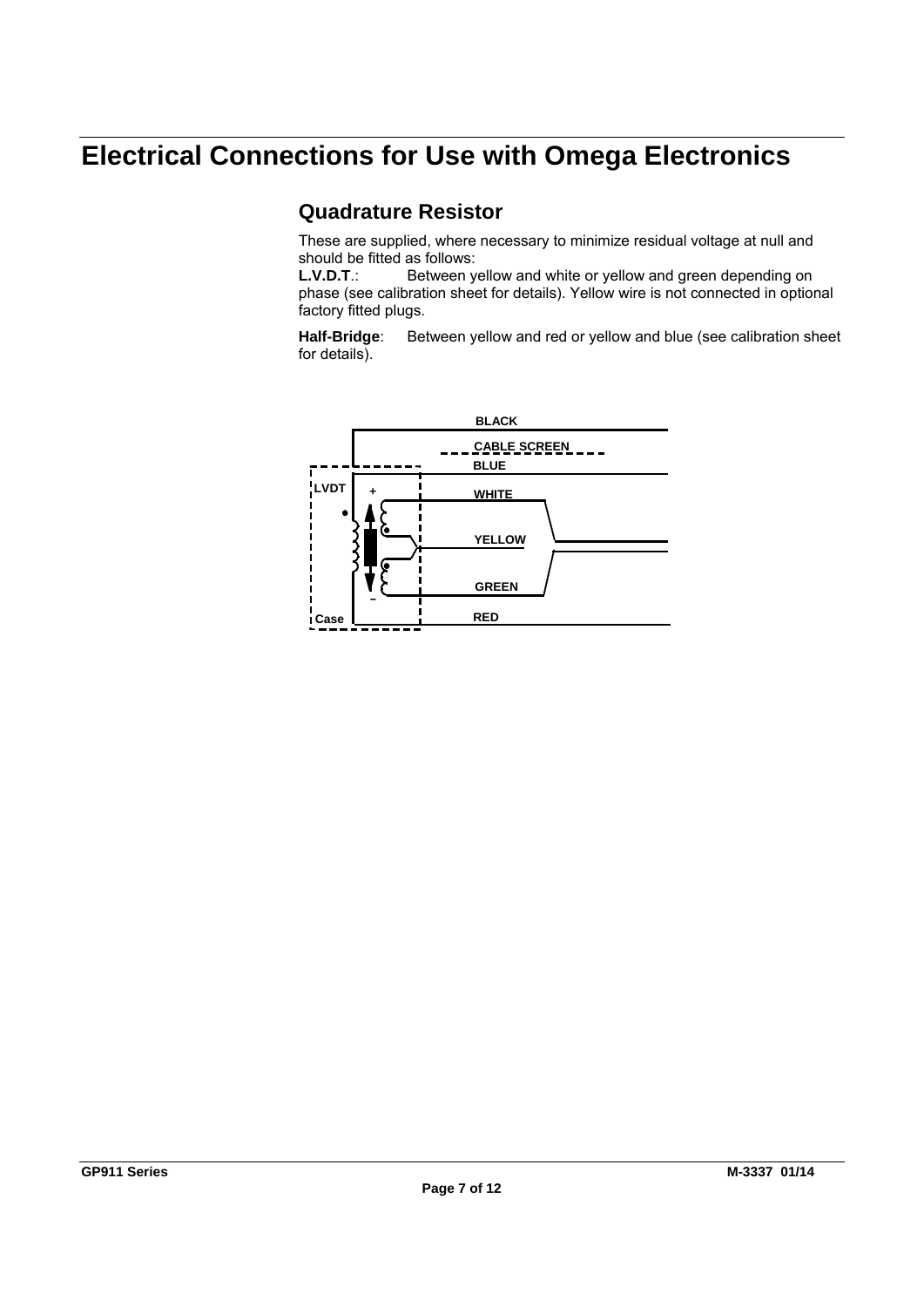# **Electrical Connections for Use with Omega Electronics**

#### **Quadrature Resistor**

These are supplied, where necessary to minimize residual voltage at null and should be fitted as follows:

**L.V.D.T**.: Between yellow and white or yellow and green depending on phase (see calibration sheet for details). Yellow wire is not connected in optional factory fitted plugs.

**Half-Bridge**: Between yellow and red or yellow and blue (see calibration sheet for details).

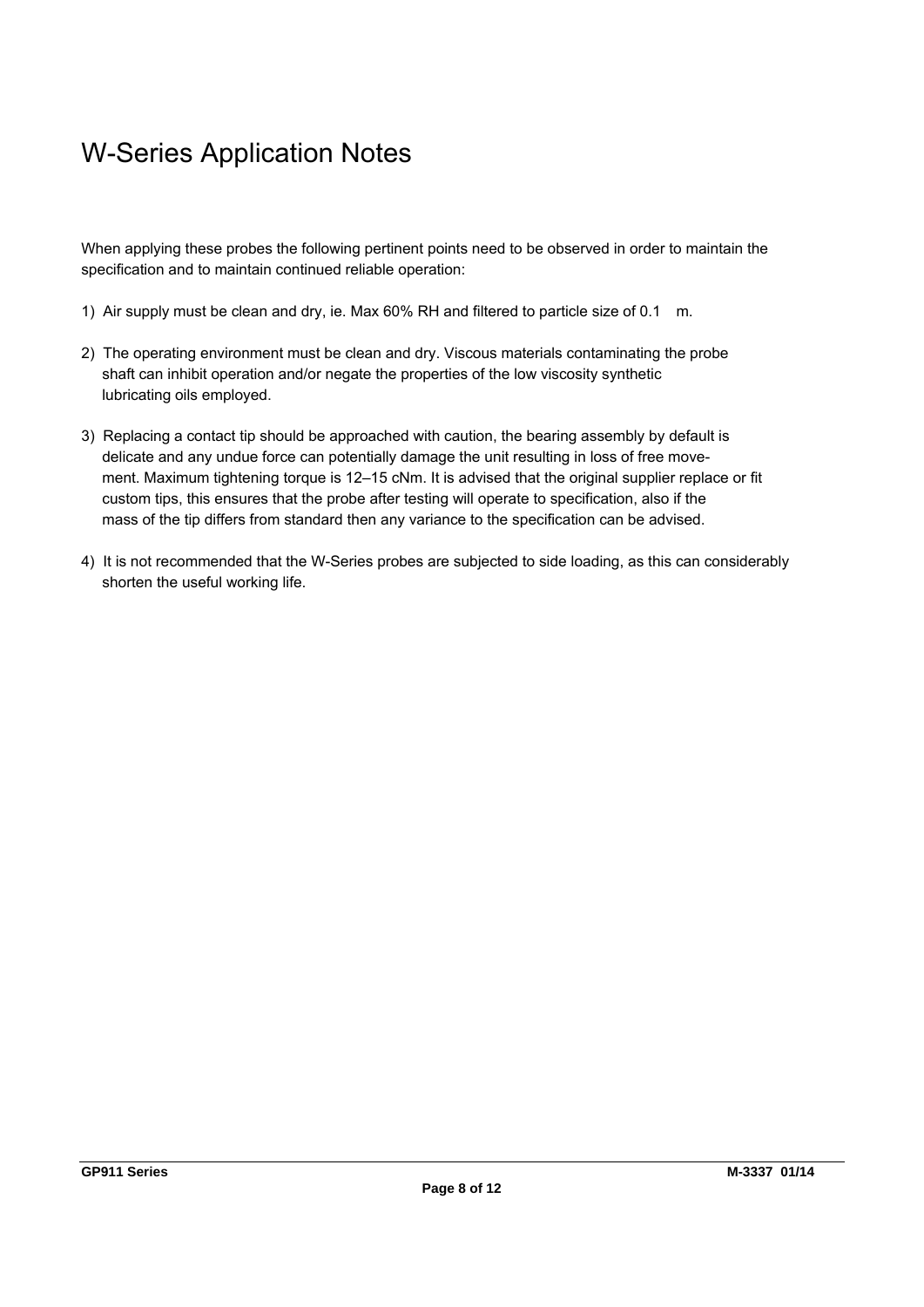# W-Series Application Notes

When applying these probes the following pertinent points need to be observed in order to maintain the specification and to maintain continued reliable operation:

- 1) Air supply must be clean and dry, ie. Max 60% RH and filtered to particle size of 0.1 m.
- 2) The operating environment must be clean and dry. Viscous materials contaminating the probe shaft can inhibit operation and/or negate the properties of the low viscosity synthetic lubricating oils employed.
- 3) Replacing a contact tip should be approached with caution, the bearing assembly by default is delicate and any undue force can potentially damage the unit resulting in loss of free move ment. Maximum tightening torque is 12–15 cNm. It is advised that the original supplier replace or fit custom tips, this ensures that the probe after testing will operate to specification, also if the mass of the tip differs from standard then any variance to the specification can be advised.
- 4) It is not recommended that the W-Series probes are subjected to side loading, as this can considerably shorten the useful working life.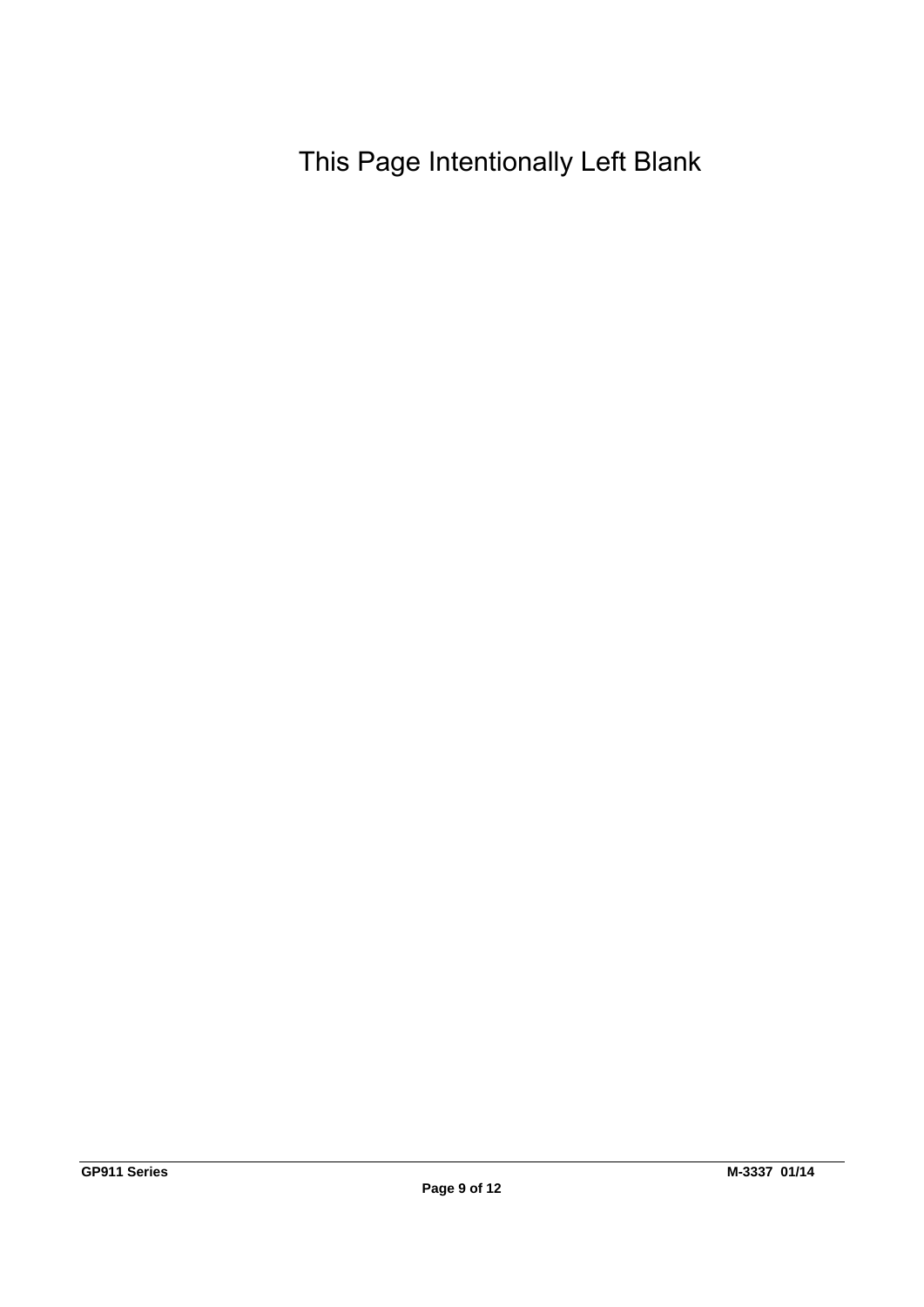This Page Intentionally Left Blank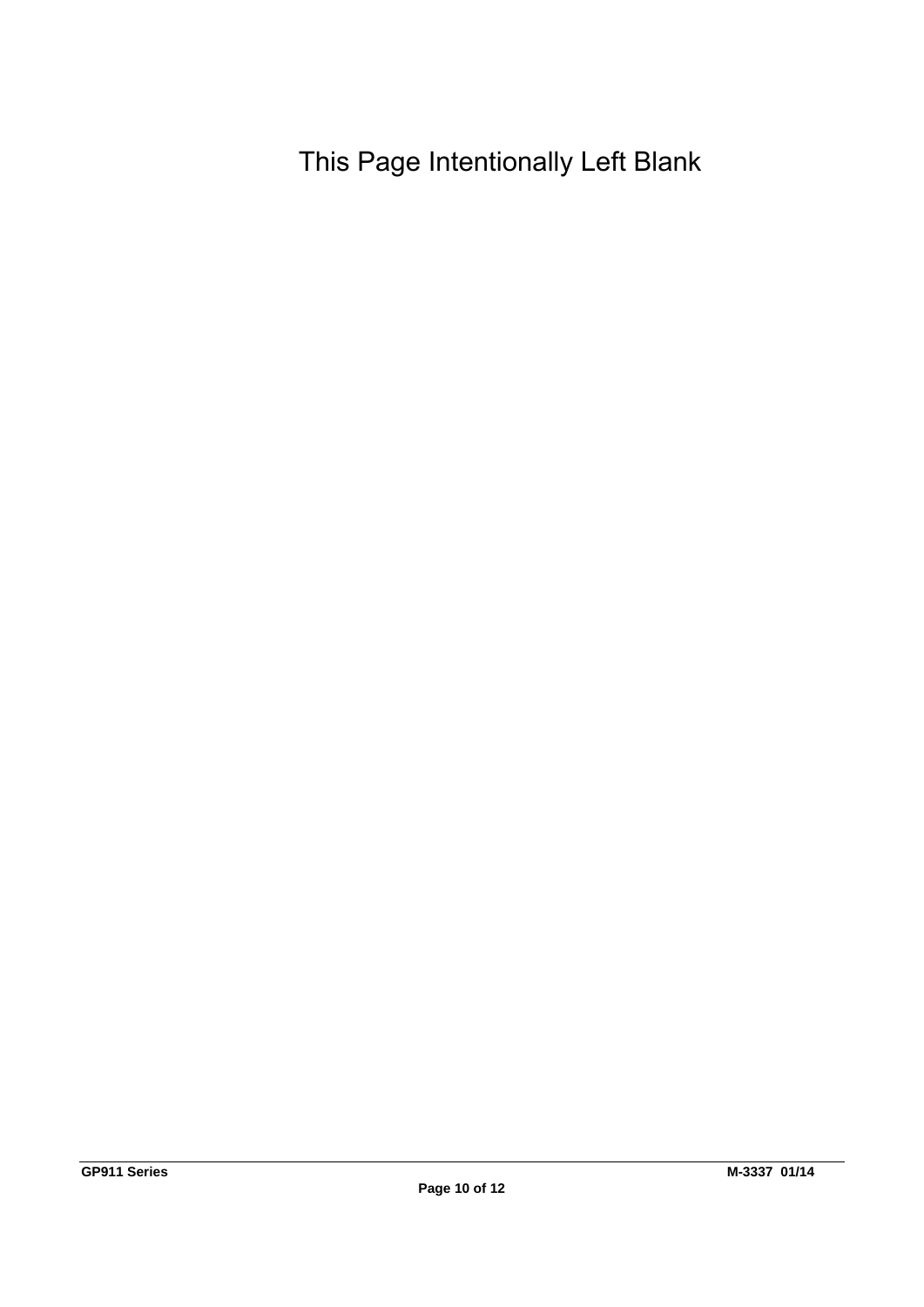This Page Intentionally Left Blank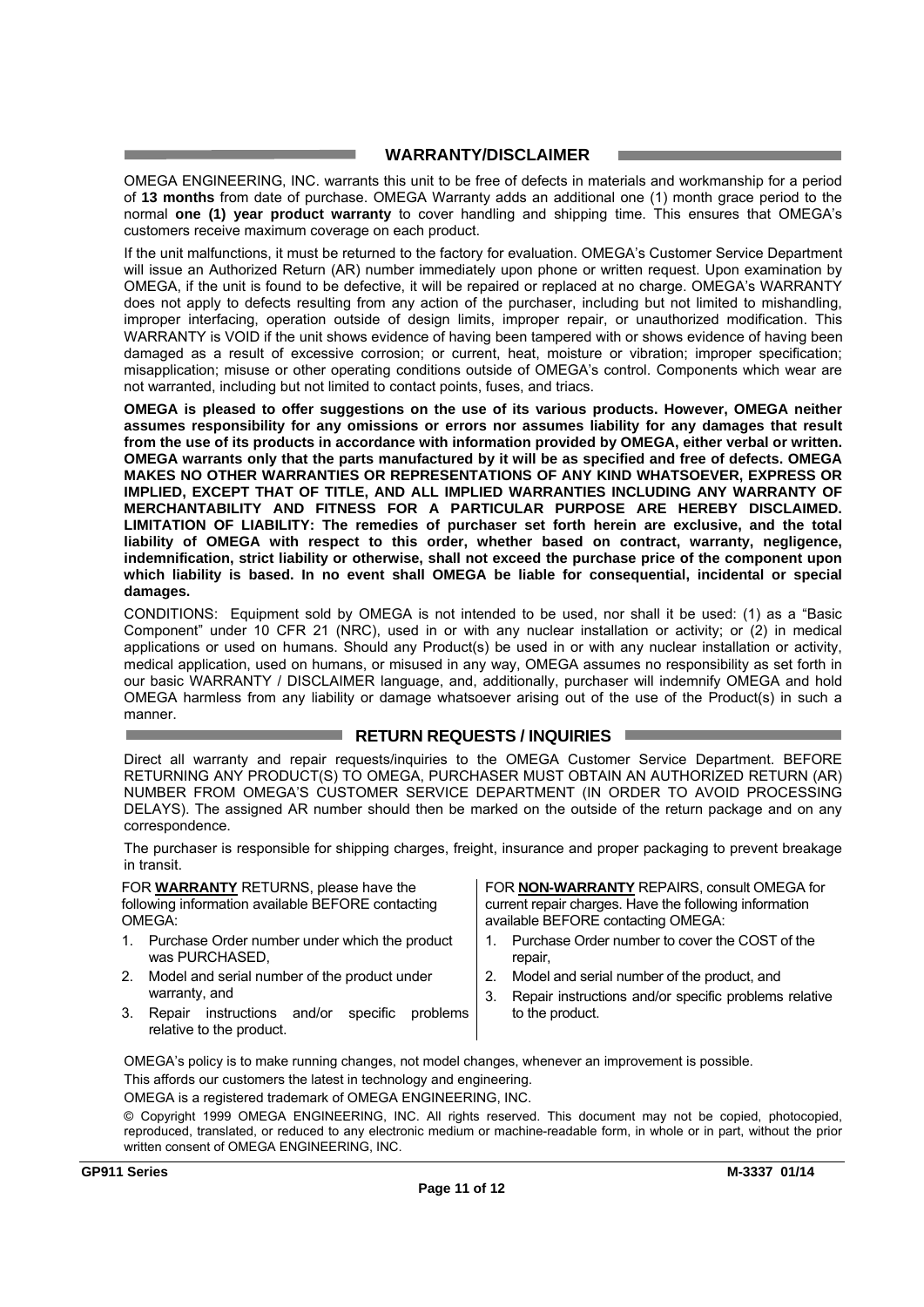#### **WARRANTY/DISCLAIMER**

OMEGA ENGINEERING, INC. warrants this unit to be free of defects in materials and workmanship for a period of **13 months** from date of purchase. OMEGA Warranty adds an additional one (1) month grace period to the normal **one (1) year product warranty** to cover handling and shipping time. This ensures that OMEGA's customers receive maximum coverage on each product.

If the unit malfunctions, it must be returned to the factory for evaluation. OMEGA's Customer Service Department will issue an Authorized Return (AR) number immediately upon phone or written request. Upon examination by OMEGA, if the unit is found to be defective, it will be repaired or replaced at no charge. OMEGA's WARRANTY does not apply to defects resulting from any action of the purchaser, including but not limited to mishandling, improper interfacing, operation outside of design limits, improper repair, or unauthorized modification. This WARRANTY is VOID if the unit shows evidence of having been tampered with or shows evidence of having been damaged as a result of excessive corrosion; or current, heat, moisture or vibration; improper specification; misapplication; misuse or other operating conditions outside of OMEGA's control. Components which wear are not warranted, including but not limited to contact points, fuses, and triacs.

**OMEGA is pleased to offer suggestions on the use of its various products. However, OMEGA neither assumes responsibility for any omissions or errors nor assumes liability for any damages that result from the use of its products in accordance with information provided by OMEGA, either verbal or written. OMEGA warrants only that the parts manufactured by it will be as specified and free of defects. OMEGA MAKES NO OTHER WARRANTIES OR REPRESENTATIONS OF ANY KIND WHATSOEVER, EXPRESS OR IMPLIED, EXCEPT THAT OF TITLE, AND ALL IMPLIED WARRANTIES INCLUDING ANY WARRANTY OF MERCHANTABILITY AND FITNESS FOR A PARTICULAR PURPOSE ARE HEREBY DISCLAIMED. LIMITATION OF LIABILITY: The remedies of purchaser set forth herein are exclusive, and the total liability of OMEGA with respect to this order, whether based on contract, warranty, negligence, indemnification, strict liability or otherwise, shall not exceed the purchase price of the component upon which liability is based. In no event shall OMEGA be liable for consequential, incidental or special damages.** 

CONDITIONS: Equipment sold by OMEGA is not intended to be used, nor shall it be used: (1) as a "Basic Component" under 10 CFR 21 (NRC), used in or with any nuclear installation or activity; or (2) in medical applications or used on humans. Should any Product(s) be used in or with any nuclear installation or activity, medical application, used on humans, or misused in any way, OMEGA assumes no responsibility as set forth in our basic WARRANTY / DISCLAIMER language, and, additionally, purchaser will indemnify OMEGA and hold OMEGA harmless from any liability or damage whatsoever arising out of the use of the Product(s) in such a manner.

#### **RETURN REQUESTS / INQUIRIES**

Direct all warranty and repair requests/inquiries to the OMEGA Customer Service Department. BEFORE RETURNING ANY PRODUCT(S) TO OMEGA, PURCHASER MUST OBTAIN AN AUTHORIZED RETURN (AR) NUMBER FROM OMEGA'S CUSTOMER SERVICE DEPARTMENT (IN ORDER TO AVOID PROCESSING DELAYS). The assigned AR number should then be marked on the outside of the return package and on any correspondence.

The purchaser is responsible for shipping charges, freight, insurance and proper packaging to prevent breakage in transit.

FOR **WARRANTY** RETURNS, please have the following information available BEFORE contacting OMEGA: 1. Purchase Order number under which the product was PURCHASED, 2. Model and serial number of the product under warranty, and 3. Repair instructions and/or specific problems relative to the product. FOR **NON-WARRANTY** REPAIRS, consult OMEGA for current repair charges. Have the following information available BEFORE contacting OMEGA: 1. Purchase Order number to cover the COST of the repair, 2. Model and serial number of the product, and 3. Repair instructions and/or specific problems relative to the product.

OMEGA's policy is to make running changes, not model changes, whenever an improvement is possible. This affords our customers the latest in technology and engineering. OMEGA is a registered trademark of OMEGA ENGINEERING, INC.

© Copyright 1999 OMEGA ENGINEERING, INC. All rights reserved. This document may not be copied, photocopied, reproduced, translated, or reduced to any electronic medium or machine-readable form, in whole or in part, without the prior written consent of OMEGA ENGINEERING, INC.